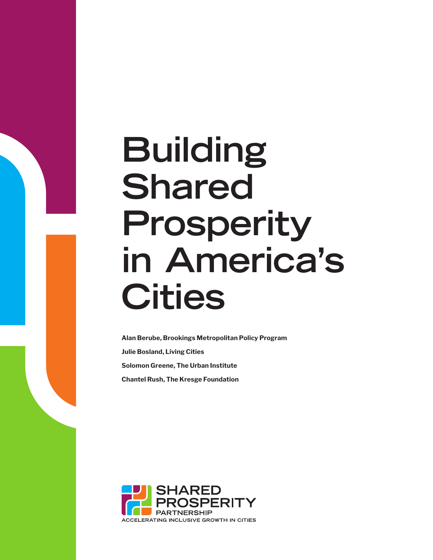# **Building Shared Prosperity in America's Cities**

**Alan Berube, Brookings Metropolitan Policy Program Julie Bosland, Living Cities Solomon Greene, The Urban Institute Chantel Rush, The Kresge Foundation**

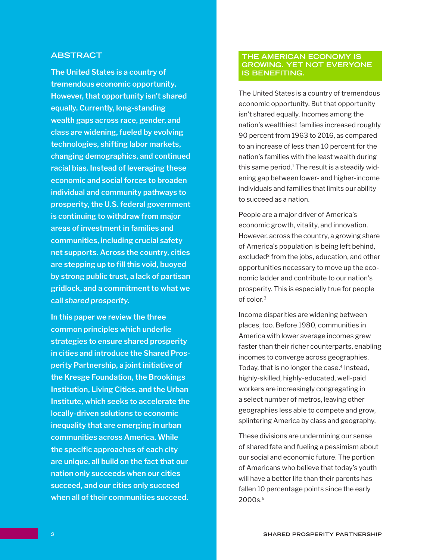# <span id="page-1-0"></span>**ABSTRACT**

**The United States is a country of tremendous economic opportunity. However, that opportunity isn't shared equally. Currently, long-standing wealth gaps across race, gender, and class are widening, fueled by evolving technologies, shifting labor markets, changing demographics, and continued racial bias. Instead of leveraging these economic and social forces to broaden individual and community pathways to prosperity, the U.S. federal government is continuing to withdraw from major areas of investment in families and communities, including crucial safety net supports. Across the country, cities are stepping up to fill this void, buoyed by strong public trust, a lack of partisan gridlock, and a commitment to what we call** *shared prosperity***.**

**In this paper we review the three common principles which underlie strategies to ensure shared prosperity in cities and introduce the Shared Prosperity Partnership, a joint initiative of the Kresge Foundation, the Brookings Institution, Living Cities, and the Urban Institute, which seeks to accelerate the locally-driven solutions to economic inequality that are emerging in urban communities across America. While the specific approaches of each city are unique, all build on the fact that our nation only succeeds when our cities succeed, and our cities only succeed when all of their communities succeed.** 

### **THE AMERICAN ECONOMY IS GROWING. YET NOT EVERYONE IS BENEFITING.**

The United States is a country of tremendous economic opportunity. But that opportunity isn't shared equally. Incomes among the nation's wealthiest families increased roughly 90 percent from 1963 to 2016, as compared to an increase of less than 10 percent for the nation's families with the least wealth during this same period.<sup>[1](#page-5-0)</sup> The result is a steadily widening gap between lower- and higher-income individuals and families that limits our ability to succeed as a nation.

People are a major driver of America's economic growth, vitality, and innovation. However, across the country, a growing share of America's population is being left behind, excluded<sup>2</sup> from the jobs, education, and other opportunities necessary to move up the economic ladder and contribute to our nation's prosperity. This is especially true for people of color.[3](#page-5-0)

Income disparities are widening between places, too. Before 1980, communities in America with lower average incomes grew faster than their richer counterparts, enabling incomes to converge across geographies. Today, that is no longer the case.<sup>4</sup> Instead, highly-skilled, highly-educated, well-paid workers are increasingly congregating in a select number of metros, leaving other geographies less able to compete and grow, splintering America by class and geography.

These divisions are undermining our sense of shared fate and fueling a pessimism about our social and economic future. The portion of Americans who believe that today's youth will have a better life than their parents has fallen 10 percentage points since the early 2000s.[5](#page-5-0)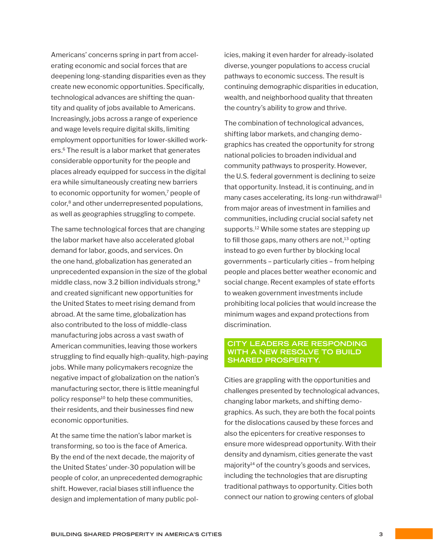<span id="page-2-0"></span>Americans' concerns spring in part from accelerating economic and social forces that are deepening long-standing disparities even as they create new economic opportunities. Specifically, technological advances are shifting the quantity and quality of jobs available to Americans. Increasingly, jobs across a range of experience and wage levels require digital skills, limiting employment opportunities for lower-skilled workers.[6](#page-5-0) The result is a labor market that generates considerable opportunity for the people and places already equipped for success in the digital era while simultaneously creating new barriers to economic opportunity for women,<sup>7</sup> people of color,[8](#page-5-0) and other underrepresented populations, as well as geographies struggling to compete.

The same technological forces that are changing the labor market have also accelerated global demand for labor, goods, and services. On the one hand, globalization has generated an unprecedented expansion in the size of the global middle class, now 3.2 billion individuals strong,<sup>[9](#page-5-0)</sup> and created significant new opportunities for the United States to meet rising demand from abroad. At the same time, globalization has also contributed to the loss of middle-class manufacturing jobs across a vast swath of American communities, leaving those workers struggling to find equally high-quality, high-paying jobs. While many policymakers recognize the negative impact of globalization on the nation's manufacturing sector, there is little meaningful policy response<sup>[10](#page-5-0)</sup> to help these communities, their residents, and their businesses find new economic opportunities.

At the same time the nation's labor market is transforming, so too is the face of America. By the end of the next decade, the majority of the United States' under-30 population will be people of color, an unprecedented demographic shift. However, racial biases still influence the design and implementation of many public policies, making it even harder for already-isolated diverse, younger populations to access crucial pathways to economic success. The result is continuing demographic disparities in education, wealth, and neighborhood quality that threaten the country's ability to grow and thrive.

The combination of technological advances, shifting labor markets, and changing demographics has created the opportunity for strong national policies to broaden individual and community pathways to prosperity. However, the U.S. federal government is declining to seize that opportunity. Instead, it is continuing, and in many cases accelerating, its long-run withdrawal $11$ from major areas of investment in families and communities, including crucial social safety net supports[.12](#page-5-0) While some states are stepping up to fill those gaps, many others are not, $13$  opting instead to go even further by blocking local governments – particularly cities – from helping people and places better weather economic and social change. Recent examples of state efforts to weaken government investments include prohibiting local policies that would increase the minimum wages and expand protections from discrimination.

# **CITY LEADERS ARE RESPONDING WITH A NEW RESOLVE TO BUILD SHARED PROSPERITY.**

Cities are grappling with the opportunities and challenges presented by technological advances, changing labor markets, and shifting demographics. As such, they are both the focal points for the dislocations caused by these forces and also the epicenters for creative responses to ensure more widespread opportunity. With their density and dynamism, cities generate the vast majority<sup>14</sup> of the country's goods and services, including the technologies that are disrupting traditional pathways to opportunity. Cities both connect our nation to growing centers of global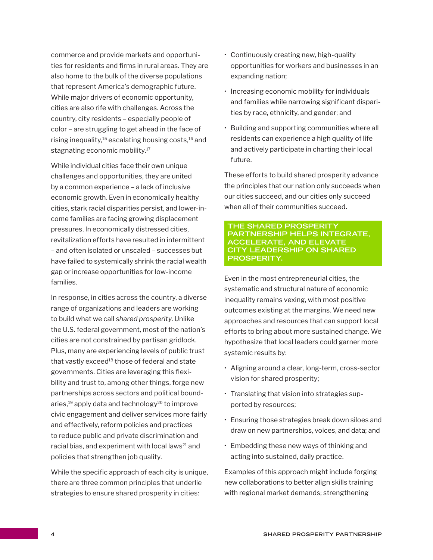<span id="page-3-0"></span>commerce and provide markets and opportunities for residents and firms in rural areas. They are also home to the bulk of the diverse populations that represent America's demographic future. While major drivers of economic opportunity, cities are also rife with challenges. Across the country, city residents – especially people of color – are struggling to get ahead in the face of rising inequality, $15$  escalating housing costs, $16$  and stagnating economic mobility.<sup>[17](#page-5-0)</sup>

While individual cities face their own unique challenges and opportunities, they are united by a common experience – a lack of inclusive economic growth. Even in economically healthy cities, stark racial disparities persist, and lower-income families are facing growing displacement pressures. In economically distressed cities, revitalization efforts have resulted in intermittent – and often isolated or unscaled – successes but have failed to systemically shrink the racial wealth gap or increase opportunities for low-income families.

In response, in cities across the country, a diverse range of organizations and leaders are working to build what we call *shared prosperity*. Unlike the U.S. federal government, most of the nation's cities are not constrained by partisan gridlock. Plus, many are experiencing levels of public trust that vastly exceed<sup>[18](#page-5-0)</sup> those of federal and state governments. Cities are leveraging this flexibility and trust to, among other things, forge new partnerships across sectors and political boundaries, $19$  apply data and technology $20$  to improve civic engagement and deliver services more fairly and effectively, reform policies and practices to reduce public and private discrimination and racial bias, and experiment with local laws<sup>21</sup> and policies that strengthen job quality.

While the specific approach of each city is unique, there are three common principles that underlie strategies to ensure shared prosperity in cities:

- Continuously creating new, high-quality opportunities for workers and businesses in an expanding nation;
- Increasing economic mobility for individuals and families while narrowing significant disparities by race, ethnicity, and gender; and
- Building and supporting communities where all residents can experience a high quality of life and actively participate in charting their local future.

These efforts to build shared prosperity advance the principles that our nation only succeeds when our cities succeed, and our cities only succeed when all of their communities succeed.

#### **THE SHARED PROSPERITY PARTNERSHIP HELPS INTEGRATE, ACCELERATE, AND ELEVATE CITY LEADERSHIP ON SHARED PROSPERITY.**

Even in the most entrepreneurial cities, the systematic and structural nature of economic inequality remains vexing, with most positive outcomes existing at the margins. We need new approaches and resources that can support local efforts to bring about more sustained change. We hypothesize that local leaders could garner more systemic results by:

- Aligning around a clear, long-term, cross-sector vision for shared prosperity;
- Translating that vision into strategies supported by resources;
- Ensuring those strategies break down siloes and draw on new partnerships, voices, and data; and
- Embedding these new ways of thinking and acting into sustained, daily practice.

Examples of this approach might include forging new collaborations to better align skills training with regional market demands; strengthening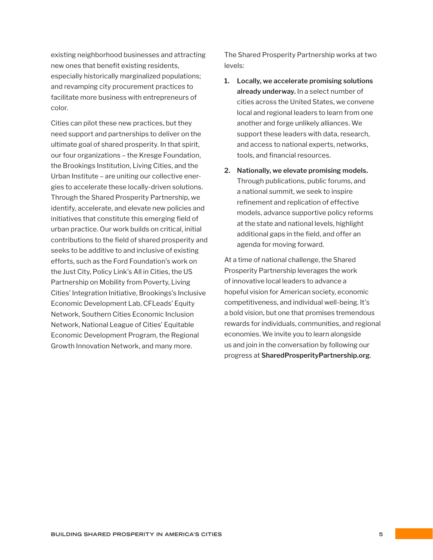existing neighborhood businesses and attracting new ones that benefit existing residents, especially historically marginalized populations; and revamping city procurement practices to facilitate more business with entrepreneurs of color.

Cities can pilot these new practices, but they need support and partnerships to deliver on the ultimate goal of shared prosperity. In that spirit, our four organizations – the Kresge Foundation, the Brookings Institution, Living Cities, and the Urban Institute – are uniting our collective energies to accelerate these locally-driven solutions. Through the Shared Prosperity Partnership, we identify, accelerate, and elevate new policies and initiatives that constitute this emerging field of urban practice. Our work builds on critical, initial contributions to the field of shared prosperity and seeks to be additive to and inclusive of existing efforts, such as the Ford Foundation's work on the Just City, Policy Link's All in Cities, the US Partnership on Mobility from Poverty, Living Cities' Integration Initiative, Brookings's Inclusive Economic Development Lab, CFLeads' Equity Network, Southern Cities Economic Inclusion Network, National League of Cities' Equitable Economic Development Program, the Regional Growth Innovation Network, and many more.

The Shared Prosperity Partnership works at two levels:

- **1. Locally, we accelerate promising solutions already underway.** In a select number of cities across the United States, we convene local and regional leaders to learn from one another and forge unlikely alliances. We support these leaders with data, research, and access to national experts, networks, tools, and financial resources.
- **2. Nationally, we elevate promising models.**  Through publications, public forums, and a national summit, we seek to inspire refinement and replication of effective models, advance supportive policy reforms at the state and national levels, highlight additional gaps in the field, and offer an agenda for moving forward.

At a time of national challenge, the Shared Prosperity Partnership leverages the work of innovative local leaders to advance a hopeful vision for American society, economic competitiveness, and individual well-being. It's a bold vision, but one that promises tremendous rewards for individuals, communities, and regional economies. We invite you to learn alongside us and join in the conversation by following our progress at **SharedProsperityPartnership.org**.